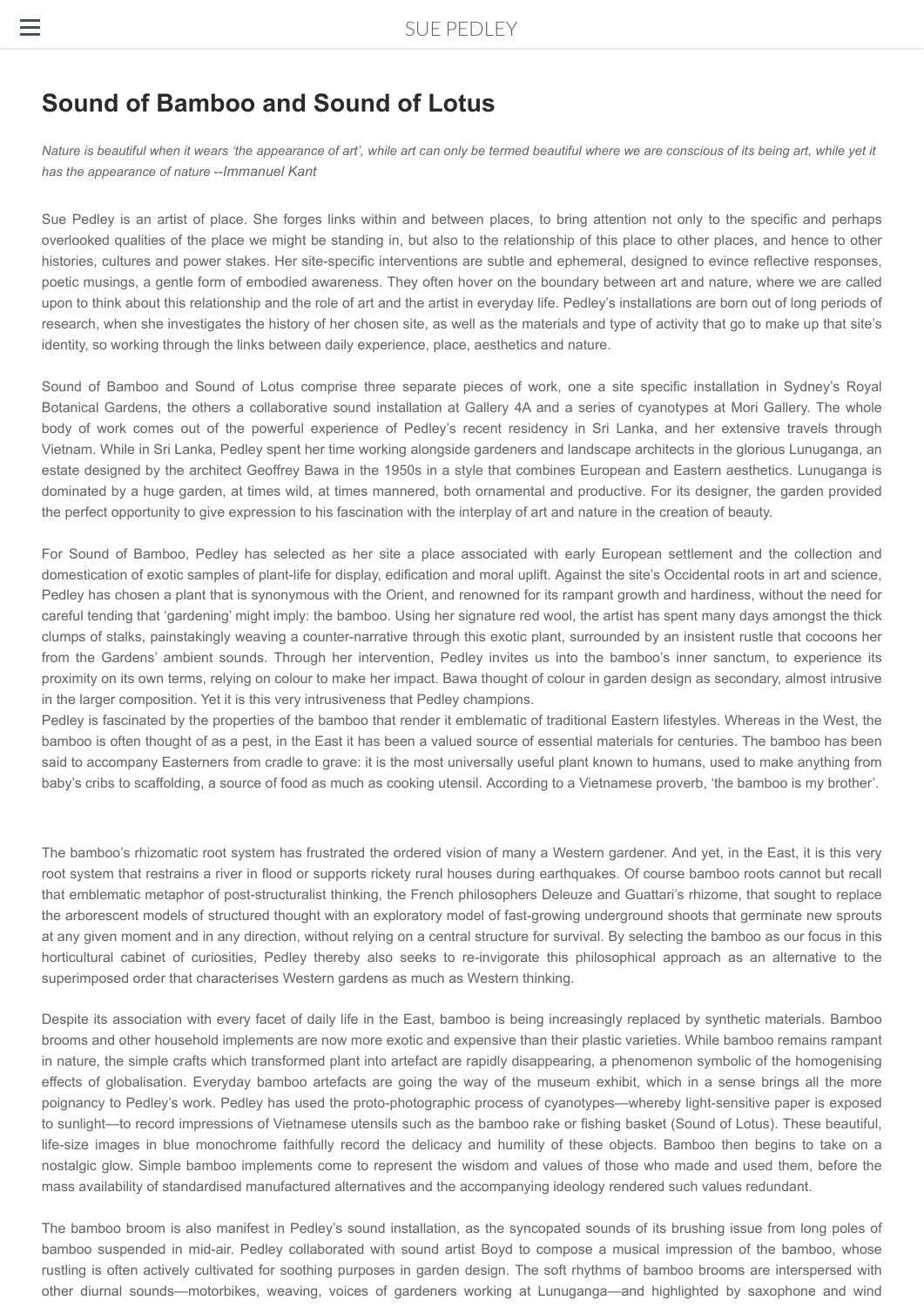## **Sound of Bamboo and Sound of Lotus**

 $\equiv$ 

has the appearance of nature --Immanuel Kant *Nature is beautiful when it wears 'the appearance of art', while art can only be termed beautiful where we are conscious of its being art, while yet it*

Sue Pedley is an artist of place. She forges links within and between places, to bring attention not only to the specific and perhaps overlooked qualities of the place we might be standing in, but also to the relationship of this place to other places, and hence to other histories, cultures and power stakes. Her site-specific interventions are subtle and ephemeral, designed to evince reflective responses, poetic musings, a gentle form of embodied awareness. They often hover on the boundary between art and nature, where we are called upon to think about this relationship and the role of art and the artist in everyday life. Pedley's installations are born out of long periods of research, when she investigates the history of her chosen site, as well as the materials and type of activity that go to make up that site's identity, so working through the links between daily experience, place, aesthetics and nature.

Sound of Bamboo and Sound of Lotus comprise three separate pieces of work, one a site specific installation in Sydney's Royal Botanical Gardens, the others a collaborative sound installation at Gallery 4A and a series of cyanotypes at Mori Gallery. The whole body of work comes out of the powerful experience of Pedley's recent residency in Sri Lanka, and her extensive travels through Vietnam. While in Sri Lanka, Pedley spent her time working alongside gardeners and landscape architects in the glorious Lunuganga, an estate designed by the architect Geoffrey Bawa in the 1950s in a style that combines European and Eastern aesthetics. Lunuganga is dominated by a huge garden, at times wild, at times mannered, both ornamental and productive. For its designer, the garden provided the perfect opportunity to give expression to his fascination with the interplay of art and nature in the creation of beauty.

For Sound of Bamboo, Pedley has selected as her site a place associated with early European settlement and the collection and domestication of exotic samples of plant-life for display, edification and moral uplift. Against the site's Occidental roots in art and science, Pedley has chosen a plant that is synonymous with the Orient, and renowned for its rampant growth and hardiness, without the need for careful tending that 'gardening' might imply: the bamboo. Using her signature red wool, the artist has spent many days amongst the thick clumps of stalks, painstakingly weaving a counter-narrative through this exotic plant, surrounded by an insistent rustle that cocoons her from the Gardens' ambient sounds. Through her intervention, Pedley invites us into the bamboo's inner sanctum, to experience its proximity on its own terms, relying on colour to make her impact. Bawa thought of colour in garden design as secondary, almost intrusive in the larger composition. Yet it is this very intrusiveness that Pedley champions.

Pedley is fascinated by the properties of the bamboo that render it emblematic of traditional Eastern lifestyles. Whereas in the West, the bamboo is often thought of as a pest, in the East it has been a valued source of essential materials for centuries. The bamboo has been said to accompany Easterners from cradle to grave: it is the most universally useful plant known to humans, used to make anything from baby's cribs to scaffolding, a source of food as much as cooking utensil. According to a Vietnamese proverb, 'the bamboo is my brother'.

The bamboo's rhizomatic root system has frustrated the ordered vision of many a Western gardener. And yet, in the East, it is this very root system that restrains a river in flood or supports rickety rural houses during earthquakes. Of course bamboo roots cannot but recall that emblematic metaphor of post-structuralist thinking, the French philosophers Deleuze and Guattari's rhizome, that sought to replace the arborescent models of structured thought with an exploratory model of fast-growing underground shoots that germinate new sprouts at any given moment and in any direction, without relying on a central structure for survival. By selecting the bamboo as our focus in this horticultural cabinet of curiosities, Pedley thereby also seeks to re-invigorate this philosophical approach as an alternative to the superimposed order that characterises Western gardens as much as Western thinking.

Despite its association with every facet of daily life in the East, bamboo is being increasingly replaced by synthetic materials. Bamboo brooms and other household implements are now more exotic and expensive than their plastic varieties. While bamboo remains rampant in nature, the simple crafts which transformed plant into artefact are rapidly disappearing, a phenomenon symbolic of the homogenising effects of globalisation. Everyday bamboo artefacts are going the way of the museum exhibit, which in a sense brings all the more poignancy to Pedley's work. Pedley has used the proto-photographic process of cyanotypes—whereby light-sensitive paper is exposed to sunlight—to record impressions of Vietnamese utensils such as the bamboo rake or fishing basket (Sound of Lotus). These beautiful, life-size images in blue monochrome faithfully record the delicacy and humility of these objects. Bamboo then begins to take on a nostalgic glow. Simple bamboo implements come to represent the wisdom and values of those who made and used them, before the mass availability of standardised manufactured alternatives and the accompanying ideology rendered such values redundant.

The bamboo broom is also manifest in Pedley's sound installation, as the syncopated sounds of its brushing issue from long poles of bamboo suspended in mid-air. Pedley collaborated with sound artist Boyd to compose a musical impression of the bamboo, whose rustling is often actively cultivated for soothing purposes in garden design. The soft rhythms of bamboo brooms are interspersed with other diurnal sounds—motorbikes, weaving, voices of gardeners working at Lunuganga—and highlighted by saxophone and wind